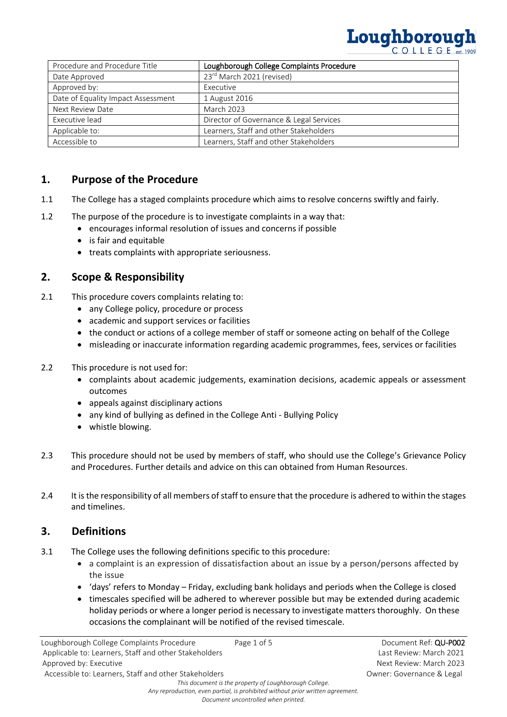# Loughborough

| Procedure and Procedure Title      | Loughborough College Complaints Procedure |
|------------------------------------|-------------------------------------------|
| Date Approved                      | 23rd March 2021 (revised)                 |
| Approved by:                       | Executive                                 |
| Date of Equality Impact Assessment | 1 August 2016                             |
| Next Review Date                   | <b>March 2023</b>                         |
| Executive lead                     | Director of Governance & Legal Services   |
| Applicable to:                     | Learners, Staff and other Stakeholders    |
| Accessible to                      | Learners, Staff and other Stakeholders    |

## **1. Purpose of the Procedure**

- 1.1 The College has a staged complaints procedure which aims to resolve concerns swiftly and fairly.
- 1.2 The purpose of the procedure is to investigate complaints in a way that:
	- encourages informal resolution of issues and concerns if possible
	- is fair and equitable
	- treats complaints with appropriate seriousness.

## **2. Scope & Responsibility**

- 2.1 This procedure covers complaints relating to:
	- any College policy, procedure or process
	- academic and support services or facilities
	- the conduct or actions of a college member of staff or someone acting on behalf of the College
	- misleading or inaccurate information regarding academic programmes, fees, services or facilities

#### 2.2 This procedure is not used for:

- complaints about academic judgements, examination decisions, academic appeals or assessment outcomes
- appeals against disciplinary actions
- any kind of bullying as defined in the College Anti Bullying Policy
- whistle blowing.
- 2.3 This procedure should not be used by members of staff, who should use the College's Grievance Policy and Procedures. Further details and advice on this can obtained from Human Resources.
- 2.4 It is the responsibility of all members of staff to ensure that the procedure is adhered to within the stages and timelines.

#### **3. Definitions**

- 3.1 The College uses the following definitions specific to this procedure:
	- a complaint is an expression of dissatisfaction about an issue by a person/persons affected by the issue
	- 'days' refers to Monday Friday, excluding bank holidays and periods when the College is closed
	- timescales specified will be adhered to wherever possible but may be extended during academic holiday periods or where a longer period is necessary to investigate matters thoroughly. On these occasions the complainant will be notified of the revised timescale.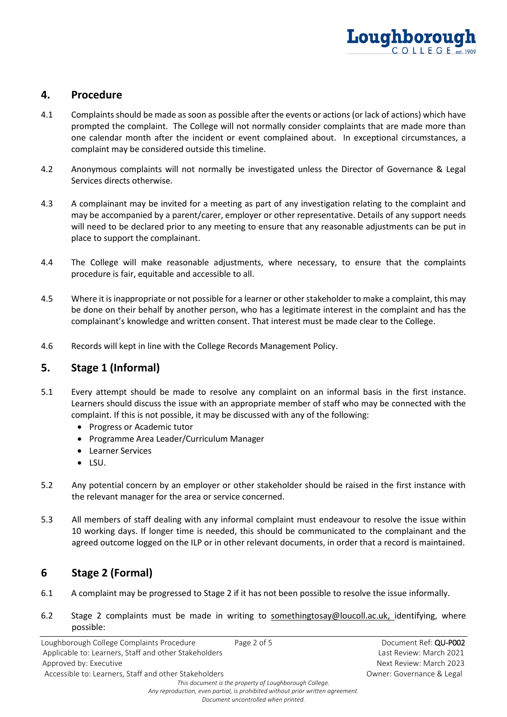

#### **4. Procedure**

- 4.1 Complaints should be made as soon as possible after the events or actions (or lack of actions) which have prompted the complaint. The College will not normally consider complaints that are made more than one calendar month after the incident or event complained about. In exceptional circumstances, a complaint may be considered outside this timeline.
- 4.2 Anonymous complaints will not normally be investigated unless the Director of Governance & Legal Services directs otherwise.
- 4.3 A complainant may be invited for a meeting as part of any investigation relating to the complaint and may be accompanied by a parent/carer, employer or other representative. Details of any support needs will need to be declared prior to any meeting to ensure that any reasonable adjustments can be put in place to support the complainant.
- 4.4 The College will make reasonable adjustments, where necessary, to ensure that the complaints procedure is fair, equitable and accessible to all.
- 4.5 Where it is inappropriate or not possible for a learner or other stakeholder to make a complaint, this may be done on their behalf by another person, who has a legitimate interest in the complaint and has the complainant's knowledge and written consent. That interest must be made clear to the College.
- 4.6 Records will kept in line with the College Records Management Policy.

## **5. Stage 1 (Informal)**

- 5.1 Every attempt should be made to resolve any complaint on an informal basis in the first instance. Learners should discuss the issue with an appropriate member of staff who may be connected with the complaint. If this is not possible, it may be discussed with any of the following:
	- Progress or Academic tutor
	- Programme Area Leader/Curriculum Manager
	- Learner Services
	- LSU.
- 5.2 Any potential concern by an employer or other stakeholder should be raised in the first instance with the relevant manager for the area or service concerned.
- 5.3 All members of staff dealing with any informal complaint must endeavour to resolve the issue within 10 working days. If longer time is needed, this should be communicated to the complainant and the agreed outcome logged on the ILP or in other relevant documents, in order that a record is maintained.

# **6 Stage 2 (Formal)**

- 6.1 A complaint may be progressed to Stage 2 if it has not been possible to resolve the issue informally.
- 6.2 Stage 2 complaints must be made in writing to [somethingtosay@loucoll.ac.uk,](mailto:somethingtosay@loucoll.ac.uk) identifying, where possible:

| Loughborough College Complaints Procedure              | Page 2 of 5 | Document Ref: QU-P002     |  |  |
|--------------------------------------------------------|-------------|---------------------------|--|--|
| Applicable to: Learners, Staff and other Stakeholders  |             | Last Review: March 2021   |  |  |
| Approved by: Executive                                 |             | Next Review: March 2023   |  |  |
| Accessible to: Learners, Staff and other Stakeholders  |             | Owner: Governance & Legal |  |  |
| This document is the property of Loughborough College. |             |                           |  |  |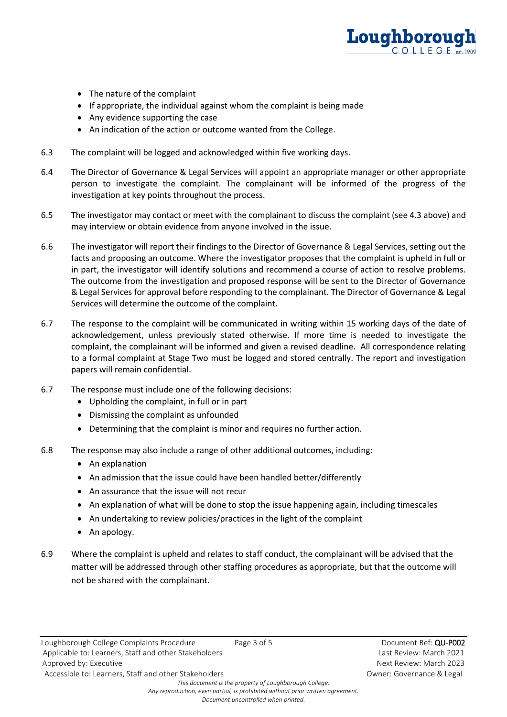

- The nature of the complaint
- If appropriate, the individual against whom the complaint is being made
- Any evidence supporting the case
- An indication of the action or outcome wanted from the College.
- 6.3 The complaint will be logged and acknowledged within five working days.
- 6.4 The Director of Governance & Legal Services will appoint an appropriate manager or other appropriate person to investigate the complaint. The complainant will be informed of the progress of the investigation at key points throughout the process.
- 6.5 The investigator may contact or meet with the complainant to discuss the complaint (see 4.3 above) and may interview or obtain evidence from anyone involved in the issue.
- 6.6 The investigator will report their findings to the Director of Governance & Legal Services, setting out the facts and proposing an outcome. Where the investigator proposes that the complaint is upheld in full or in part, the investigator will identify solutions and recommend a course of action to resolve problems. The outcome from the investigation and proposed response will be sent to the Director of Governance & Legal Services for approval before responding to the complainant. The Director of Governance & Legal Services will determine the outcome of the complaint.
- 6.7 The response to the complaint will be communicated in writing within 15 working days of the date of acknowledgement, unless previously stated otherwise. If more time is needed to investigate the complaint, the complainant will be informed and given a revised deadline. All correspondence relating to a formal complaint at Stage Two must be logged and stored centrally. The report and investigation papers will remain confidential.
- 6.7 The response must include one of the following decisions:
	- Upholding the complaint, in full or in part
	- Dismissing the complaint as unfounded
	- Determining that the complaint is minor and requires no further action.
- 6.8 The response may also include a range of other additional outcomes, including:
	- An explanation
	- An admission that the issue could have been handled better/differently
	- An assurance that the issue will not recur
	- An explanation of what will be done to stop the issue happening again, including timescales
	- An undertaking to review policies/practices in the light of the complaint
	- An apology.
- 6.9 Where the complaint is upheld and relates to staff conduct, the complainant will be advised that the matter will be addressed through other staffing procedures as appropriate, but that the outcome will not be shared with the complainant.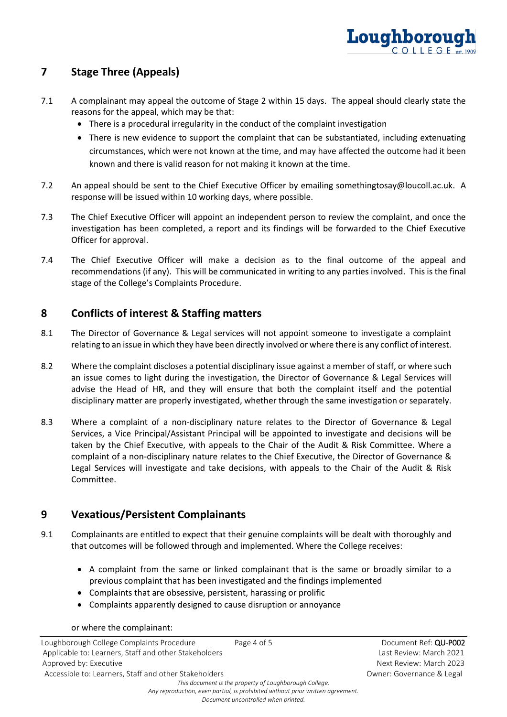

# **7 Stage Three (Appeals)**

- 7.1 A complainant may appeal the outcome of Stage 2 within 15 days. The appeal should clearly state the reasons for the appeal, which may be that:
	- There is a procedural irregularity in the conduct of the complaint investigation
	- There is new evidence to support the complaint that can be substantiated, including extenuating circumstances, which were not known at the time, and may have affected the outcome had it been known and there is valid reason for not making it known at the time.
- 7.2 An appeal should be sent to the Chief Executive Officer by emailing somethingtosay@loucoll.ac.uk. A response will be issued within 10 working days, where possible.
- 7.3 The Chief Executive Officer will appoint an independent person to review the complaint, and once the investigation has been completed, a report and its findings will be forwarded to the Chief Executive Officer for approval.
- 7.4 The Chief Executive Officer will make a decision as to the final outcome of the appeal and recommendations (if any). This will be communicated in writing to any parties involved. This is the final stage of the College's Complaints Procedure.

## **8 Conflicts of interest & Staffing matters**

- 8.1 The Director of Governance & Legal services will not appoint someone to investigate a complaint relating to an issue in which they have been directly involved or where there is any conflict of interest.
- 8.2 Where the complaint discloses a potential disciplinary issue against a member of staff, or where such an issue comes to light during the investigation, the Director of Governance & Legal Services will advise the Head of HR, and they will ensure that both the complaint itself and the potential disciplinary matter are properly investigated, whether through the same investigation or separately.
- 8.3 Where a complaint of a non-disciplinary nature relates to the Director of Governance & Legal Services, a Vice Principal/Assistant Principal will be appointed to investigate and decisions will be taken by the Chief Executive, with appeals to the Chair of the Audit & Risk Committee. Where a complaint of a non-disciplinary nature relates to the Chief Executive, the Director of Governance & Legal Services will investigate and take decisions, with appeals to the Chair of the Audit & Risk Committee.

## **9 Vexatious/Persistent Complainants**

- 9.1 Complainants are entitled to expect that their genuine complaints will be dealt with thoroughly and that outcomes will be followed through and implemented. Where the College receives:
	- A complaint from the same or linked complainant that is the same or broadly similar to a previous complaint that has been investigated and the findings implemented
	- Complaints that are obsessive, persistent, harassing or prolific
	- Complaints apparently designed to cause disruption or annoyance

#### or where the complainant:

| Loughborough College Complaints Procedure                                      | Page 4 of 5 | Document Ref: QU-P002     |
|--------------------------------------------------------------------------------|-------------|---------------------------|
| Applicable to: Learners, Staff and other Stakeholders                          |             | Last Review: March 2021   |
| Approved by: Executive                                                         |             | Next Review: March 2023   |
| Accessible to: Learners, Staff and other Stakeholders                          |             | Owner: Governance & Legal |
| This document is the property of Loughborough College.                         |             |                           |
| Any reproduction, even partial, is prohibited without prior written agreement. |             |                           |